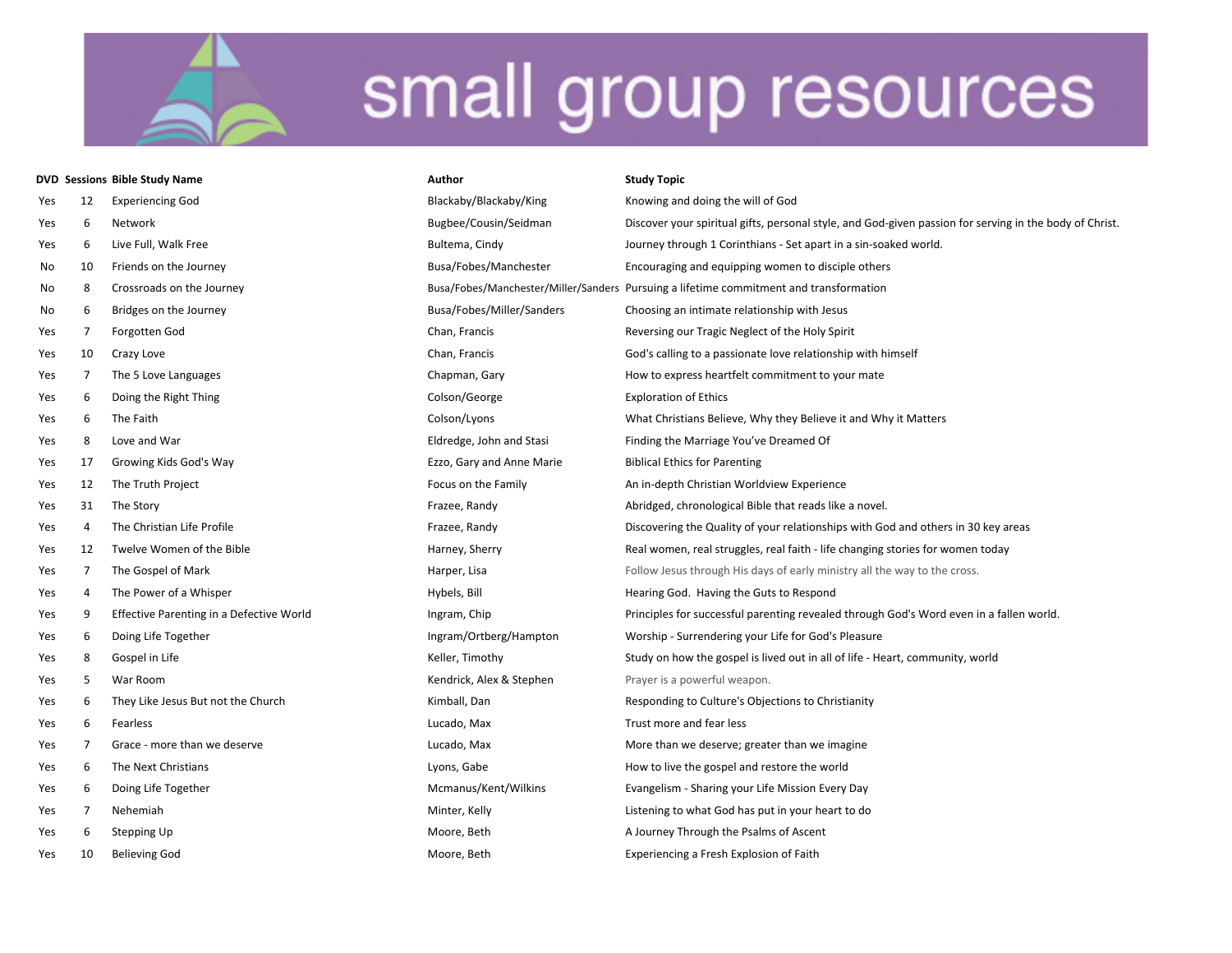|     |    | <b>DVD Sessions Bible Study Name</b>     | <b>Author</b>             | <b>Study Topic</b>                                                                                      |
|-----|----|------------------------------------------|---------------------------|---------------------------------------------------------------------------------------------------------|
| Yes | 12 | <b>Experiencing God</b>                  | Blackaby/Blackaby/King    | Knowing and doing the will of God                                                                       |
| Yes | 6  | Network                                  | Bugbee/Cousin/Seidman     | Discover your spiritual gifts, personal style, and God-given passion for serving in the body of Christ. |
| Yes | 6  | Live Full, Walk Free                     | Bultema, Cindy            | Journey through 1 Corinthians - Set apart in a sin-soaked world.                                        |
| No  | 10 | Friends on the Journey                   | Busa/Fobes/Manchester     | Encouraging and equipping women to disciple others                                                      |
| No  | 8  | Crossroads on the Journey                |                           | Busa/Fobes/Manchester/Miller/Sanders Pursuing a lifetime commitment and transformation                  |
| No  | 6  | Bridges on the Journey                   | Busa/Fobes/Miller/Sanders | Choosing an intimate relationship with Jesus                                                            |
| Yes | 7  | Forgotten God                            | Chan, Francis             | Reversing our Tragic Neglect of the Holy Spirit                                                         |
| Yes | 10 | Crazy Love                               | Chan, Francis             | God's calling to a passionate love relationship with himself                                            |
| Yes | 7  | The 5 Love Languages                     | Chapman, Gary             | How to express heartfelt commitment to your mate                                                        |
| Yes | 6  | Doing the Right Thing                    | Colson/George             | <b>Exploration of Ethics</b>                                                                            |
| Yes | 6  | The Faith                                | Colson/Lyons              | What Christians Believe, Why they Believe it and Why it Matters                                         |
| Yes | 8  | Love and War                             | Eldredge, John and Stasi  | Finding the Marriage You've Dreamed Of                                                                  |
| Yes | 17 | Growing Kids God's Way                   | Ezzo, Gary and Anne Marie | <b>Biblical Ethics for Parenting</b>                                                                    |
| Yes | 12 | The Truth Project                        | Focus on the Family       | An in-depth Christian Worldview Experience                                                              |
| Yes | 31 | The Story                                | Frazee, Randy             | Abridged, chronological Bible that reads like a novel.                                                  |
| Yes | 4  | The Christian Life Profile               | Frazee, Randy             | Discovering the Quality of your relationships with God and others in 30 key areas                       |
| Yes | 12 | Twelve Women of the Bible                | Harney, Sherry            | Real women, real struggles, real faith - life changing stories for women today                          |
| Yes | 7  | The Gospel of Mark                       | Harper, Lisa              | Follow Jesus through His days of early ministry all the way to the cross.                               |
| Yes | 4  | The Power of a Whisper                   | Hybels, Bill              | Hearing God. Having the Guts to Respond                                                                 |
| Yes | 9  | Effective Parenting in a Defective World | Ingram, Chip              | Principles for successful parenting revealed through God's Word even in a fallen world.                 |
| Yes | 6  | Doing Life Together                      | Ingram/Ortberg/Hampton    | Worship - Surrendering your Life for God's Pleasure                                                     |
| Yes | 8  | Gospel in Life                           | Keller, Timothy           | Study on how the gospel is lived out in all of life - Heart, community, world                           |
| Yes | 5  | War Room                                 | Kendrick, Alex & Stephen  | Prayer is a powerful weapon.                                                                            |
| Yes | 6  | They Like Jesus But not the Church       | Kimball, Dan              | Responding to Culture's Objections to Christianity                                                      |
| Yes | 6  | Fearless                                 | Lucado, Max               | Trust more and fear less                                                                                |
| Yes | 7  | Grace - more than we deserve             | Lucado, Max               | More than we deserve; greater than we imagine                                                           |
| Yes | 6  | The Next Christians                      | Lyons, Gabe               | How to live the gospel and restore the world                                                            |
| Yes | 6  | Doing Life Together                      | Mcmanus/Kent/Wilkins      | Evangelism - Sharing your Life Mission Every Day                                                        |
| Yes | 7  | Nehemiah                                 | Minter, Kelly             | Listening to what God has put in your heart to do                                                       |
| Yes | 6  | Stepping Up                              | Moore, Beth               | A Journey Through the Psalms of Ascent                                                                  |
| Yes | 10 | <b>Believing God</b>                     | Moore, Beth               | Experiencing a Fresh Explosion of Faith                                                                 |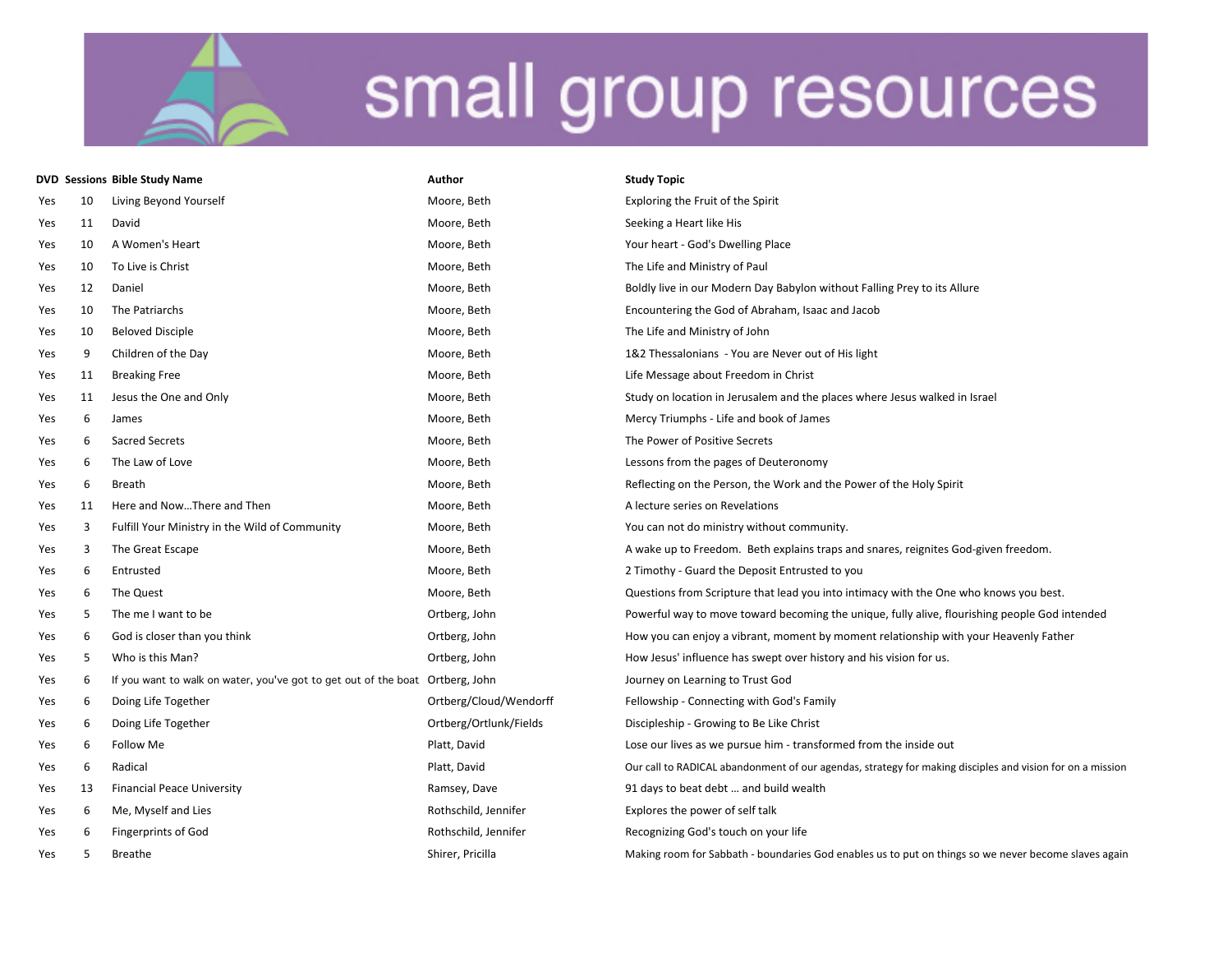|     |    | <b>DVD Sessions Bible Study Name</b>                                          | Author                 | <b>Study Topic</b>                                                                                        |
|-----|----|-------------------------------------------------------------------------------|------------------------|-----------------------------------------------------------------------------------------------------------|
| Yes | 10 | Living Beyond Yourself                                                        | Moore, Beth            | Exploring the Fruit of the Spirit                                                                         |
| Yes | 11 | David                                                                         | Moore, Beth            | Seeking a Heart like His                                                                                  |
| Yes | 10 | A Women's Heart                                                               | Moore, Beth            | Your heart - God's Dwelling Place                                                                         |
| Yes | 10 | To Live is Christ                                                             | Moore, Beth            | The Life and Ministry of Paul                                                                             |
| Yes | 12 | Daniel                                                                        | Moore, Beth            | Boldly live in our Modern Day Babylon without Falling Prey to its Allure                                  |
| Yes | 10 | The Patriarchs                                                                | Moore, Beth            | Encountering the God of Abraham, Isaac and Jacob                                                          |
| Yes | 10 | <b>Beloved Disciple</b>                                                       | Moore, Beth            | The Life and Ministry of John                                                                             |
| Yes | 9  | Children of the Day                                                           | Moore, Beth            | 1&2 Thessalonians - You are Never out of His light                                                        |
| Yes | 11 | <b>Breaking Free</b>                                                          | Moore, Beth            | Life Message about Freedom in Christ                                                                      |
| Yes | 11 | Jesus the One and Only                                                        | Moore, Beth            | Study on location in Jerusalem and the places where Jesus walked in Israel                                |
| Yes | 6  | James                                                                         | Moore, Beth            | Mercy Triumphs - Life and book of James                                                                   |
| Yes | 6  | <b>Sacred Secrets</b>                                                         | Moore, Beth            | The Power of Positive Secrets                                                                             |
| Yes | 6  | The Law of Love                                                               | Moore, Beth            | Lessons from the pages of Deuteronomy                                                                     |
| Yes | 6  | Breath                                                                        | Moore, Beth            | Reflecting on the Person, the Work and the Power of the Holy Spirit                                       |
| Yes | 11 | Here and NowThere and Then                                                    | Moore, Beth            | A lecture series on Revelations                                                                           |
| Yes | 3  | Fulfill Your Ministry in the Wild of Community                                | Moore, Beth            | You can not do ministry without community.                                                                |
| Yes | 3  | The Great Escape                                                              | Moore, Beth            | A wake up to Freedom. Beth explains traps and snares, reignites God-given freedom.                        |
| Yes | 6  | Entrusted                                                                     | Moore, Beth            | 2 Timothy - Guard the Deposit Entrusted to you                                                            |
| Yes | 6  | The Quest                                                                     | Moore, Beth            | Questions from Scripture that lead you into intimacy with the One who knows you best.                     |
| Yes | 5  | The me I want to be                                                           | Ortberg, John          | Powerful way to move toward becoming the unique, fully alive, flourishing people God intended             |
| Yes | 6  | God is closer than you think                                                  | Ortberg, John          | How you can enjoy a vibrant, moment by moment relationship with your Heavenly Father                      |
| Yes | 5  | Who is this Man?                                                              | Ortberg, John          | How Jesus' influence has swept over history and his vision for us.                                        |
| Yes | 6  | If you want to walk on water, you've got to get out of the boat Ortberg, John |                        | Journey on Learning to Trust God                                                                          |
| Yes | 6  | Doing Life Together                                                           | Ortberg/Cloud/Wendorff | Fellowship - Connecting with God's Family                                                                 |
| Yes | 6  | Doing Life Together                                                           | Ortberg/Ortlunk/Fields | Discipleship - Growing to Be Like Christ                                                                  |
| Yes | 6  | Follow Me                                                                     | Platt, David           | Lose our lives as we pursue him - transformed from the inside out                                         |
| Yes | 6  | Radical                                                                       | Platt, David           | Our call to RADICAL abandonment of our agendas, strategy for making disciples and vision for on a mission |
| Yes | 13 | <b>Financial Peace University</b>                                             | Ramsey, Dave           | 91 days to beat debt  and build wealth                                                                    |
| Yes | 6  | Me, Myself and Lies                                                           | Rothschild, Jennifer   | Explores the power of self talk                                                                           |
| Yes | 6  | <b>Fingerprints of God</b>                                                    | Rothschild, Jennifer   | Recognizing God's touch on your life                                                                      |
| Yes | 5  | Breathe                                                                       | Shirer, Pricilla       | Making room for Sabbath - boundaries God enables us to put on things so we never become slaves again      |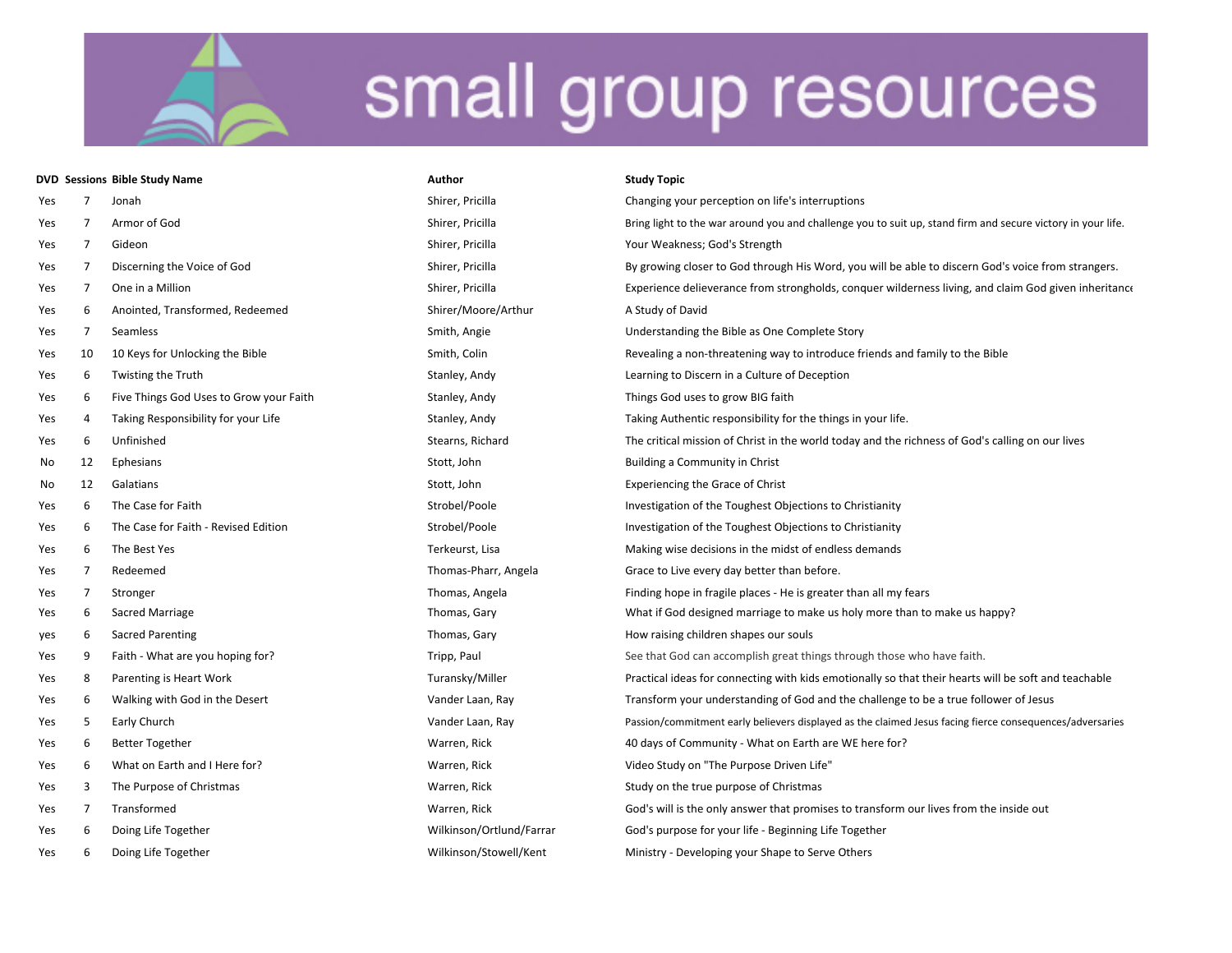|     |    | <b>DVD Sessions Bible Study Name</b>    | Author                   | <b>Study Topic</b>                                                                                          |  |
|-----|----|-----------------------------------------|--------------------------|-------------------------------------------------------------------------------------------------------------|--|
| Yes | 7  | Jonah                                   | Shirer, Pricilla         | Changing your perception on life's interruptions                                                            |  |
| Yes | 7  | Armor of God                            | Shirer, Pricilla         | Bring light to the war around you and challenge you to suit up, stand firm and secure victory in your life. |  |
| Yes | 7  | Gideon                                  | Shirer, Pricilla         | Your Weakness; God's Strength                                                                               |  |
| Yes | 7  | Discerning the Voice of God             | Shirer, Pricilla         | By growing closer to God through His Word, you will be able to discern God's voice from strangers.          |  |
| Yes | 7  | One in a Million                        | Shirer, Pricilla         | Experience delieverance from strongholds, conquer wilderness living, and claim God given inheritance        |  |
| Yes | 6  | Anointed, Transformed, Redeemed         | Shirer/Moore/Arthur      | A Study of David                                                                                            |  |
| Yes | 7  | Seamless                                | Smith, Angie             | Understanding the Bible as One Complete Story                                                               |  |
| Yes | 10 | 10 Keys for Unlocking the Bible         | Smith, Colin             | Revealing a non-threatening way to introduce friends and family to the Bible                                |  |
| Yes | 6  | Twisting the Truth                      | Stanley, Andy            | Learning to Discern in a Culture of Deception                                                               |  |
| Yes | 6  | Five Things God Uses to Grow your Faith | Stanley, Andy            | Things God uses to grow BIG faith                                                                           |  |
| Yes | 4  | Taking Responsibility for your Life     | Stanley, Andy            | Taking Authentic responsibility for the things in your life.                                                |  |
| Yes | 6  | Unfinished                              | Stearns, Richard         | The critical mission of Christ in the world today and the richness of God's calling on our lives            |  |
| No  | 12 | Ephesians                               | Stott, John              | Building a Community in Christ                                                                              |  |
| No  | 12 | Galatians                               | Stott, John              | <b>Experiencing the Grace of Christ</b>                                                                     |  |
| Yes | 6  | The Case for Faith                      | Strobel/Poole            | Investigation of the Toughest Objections to Christianity                                                    |  |
| Yes | 6  | The Case for Faith - Revised Edition    | Strobel/Poole            | Investigation of the Toughest Objections to Christianity                                                    |  |
| Yes | 6  | The Best Yes                            | Terkeurst, Lisa          | Making wise decisions in the midst of endless demands                                                       |  |
| Yes | 7  | Redeemed                                | Thomas-Pharr, Angela     | Grace to Live every day better than before.                                                                 |  |
| Yes | 7  | Stronger                                | Thomas, Angela           | Finding hope in fragile places - He is greater than all my fears                                            |  |
| Yes | 6  | Sacred Marriage                         | Thomas, Gary             | What if God designed marriage to make us holy more than to make us happy?                                   |  |
| yes | 6  | <b>Sacred Parenting</b>                 | Thomas, Gary             | How raising children shapes our souls                                                                       |  |
| Yes | 9  | Faith - What are you hoping for?        | Tripp, Paul              | See that God can accomplish great things through those who have faith.                                      |  |
| Yes | 8  | Parenting is Heart Work                 | Turansky/Miller          | Practical ideas for connecting with kids emotionally so that their hearts will be soft and teachable        |  |
| Yes | 6  | Walking with God in the Desert          | Vander Laan, Ray         | Transform your understanding of God and the challenge to be a true follower of Jesus                        |  |
| Yes | 5  | Early Church                            | Vander Laan, Ray         | Passion/commitment early believers displayed as the claimed Jesus facing fierce consequences/adversaries    |  |
| Yes | 6  | <b>Better Together</b>                  | Warren, Rick             | 40 days of Community - What on Earth are WE here for?                                                       |  |
| Yes | 6  | What on Earth and I Here for?           | Warren, Rick             | Video Study on "The Purpose Driven Life"                                                                    |  |
| Yes | 3  | The Purpose of Christmas                | Warren, Rick             | Study on the true purpose of Christmas                                                                      |  |
| Yes | 7  | Transformed                             | Warren, Rick             | God's will is the only answer that promises to transform our lives from the inside out                      |  |
| Yes | 6  | Doing Life Together                     | Wilkinson/Ortlund/Farrar | God's purpose for your life - Beginning Life Together                                                       |  |
| Yes | 6  | Doing Life Together                     | Wilkinson/Stowell/Kent   | Ministry - Developing your Shape to Serve Others                                                            |  |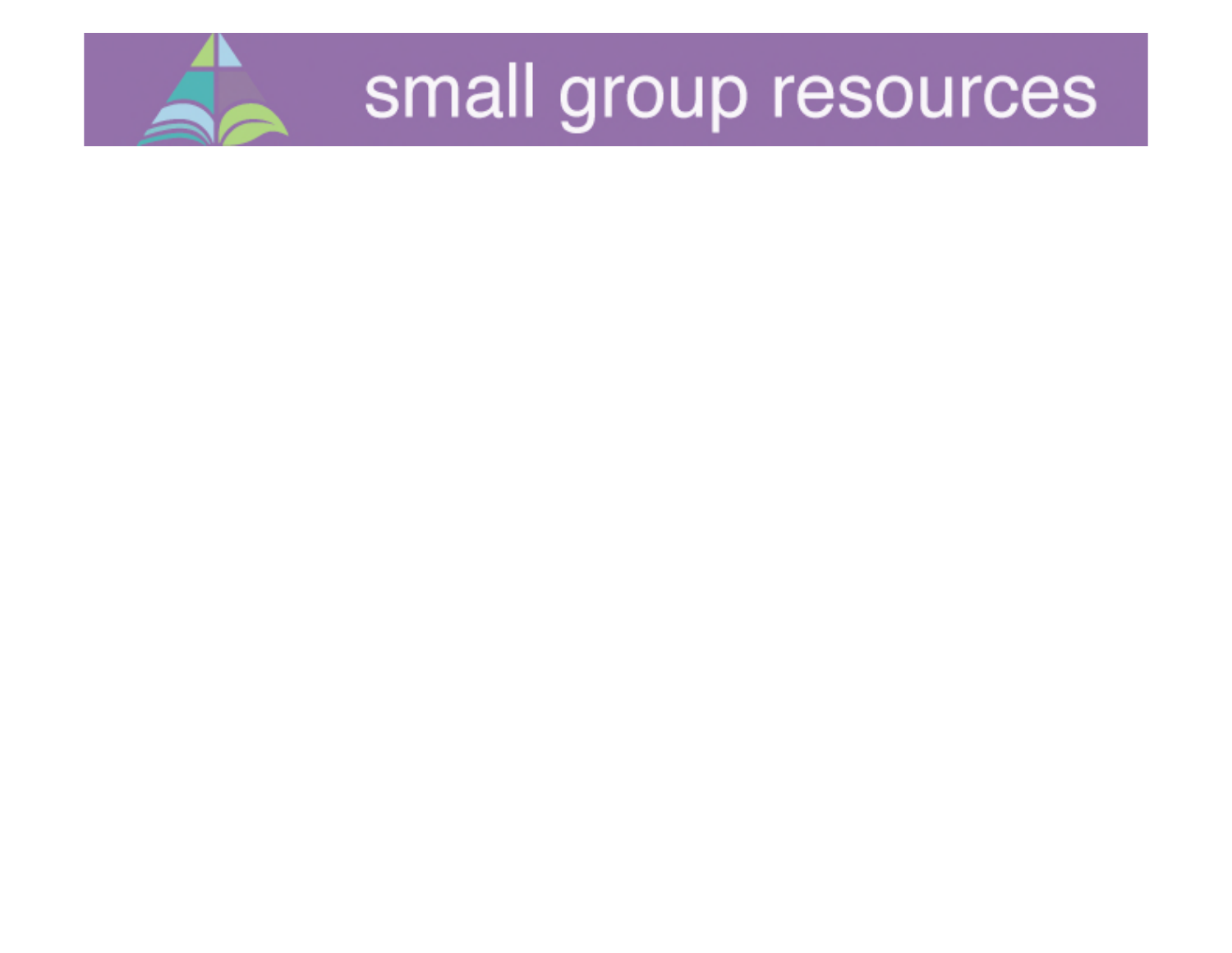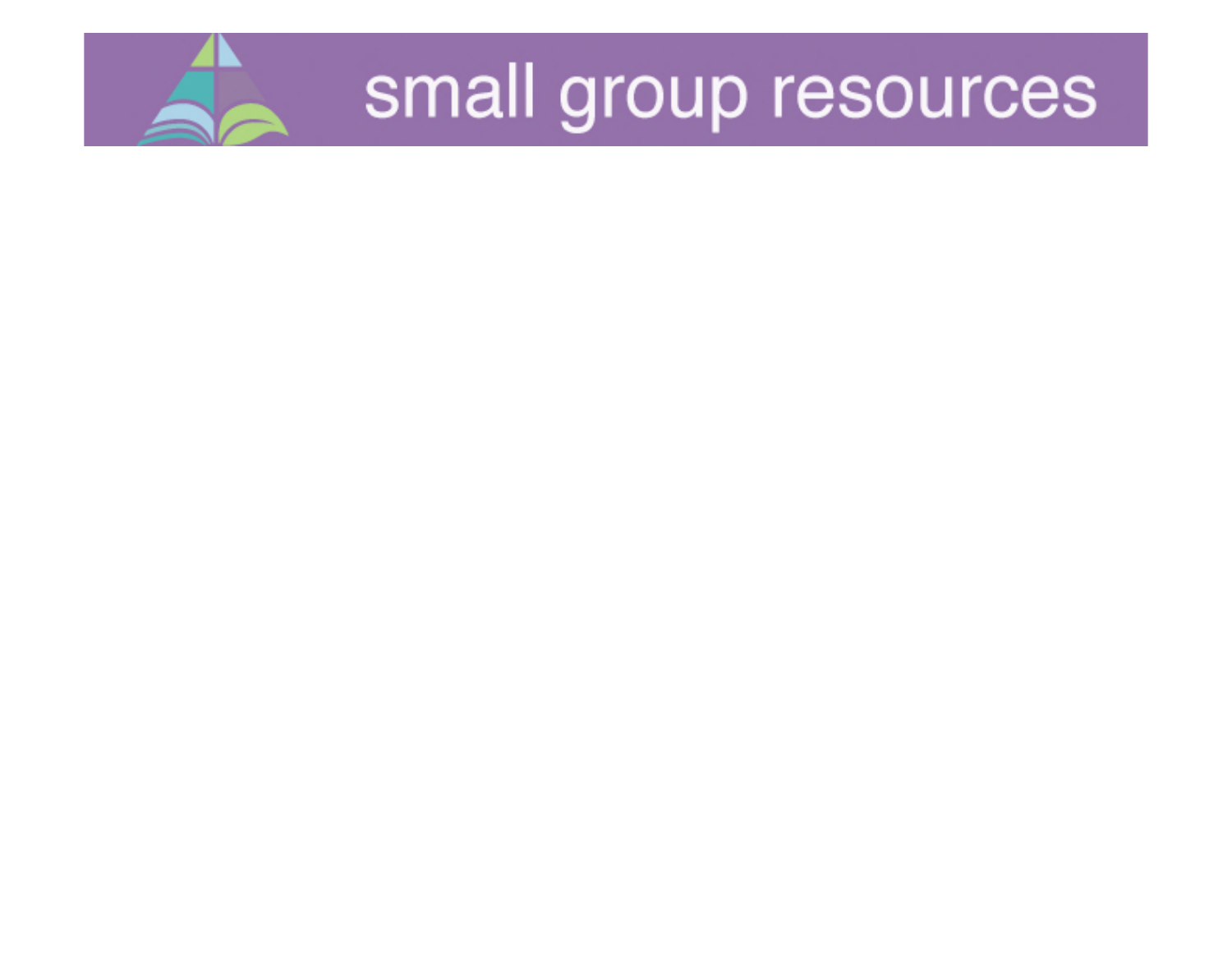